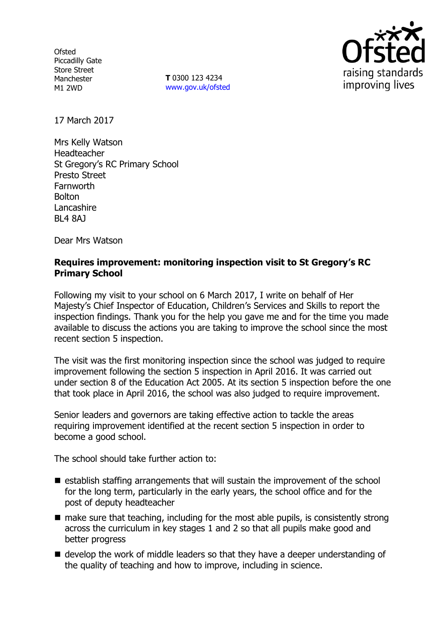**Ofsted** Piccadilly Gate Store Street Manchester M1 2WD

**T** 0300 123 4234 www.gov.uk/ofsted



17 March 2017

Mrs Kelly Watson Headteacher St Gregory's RC Primary School Presto Street Farnworth Bolton Lancashire BL4 8AJ

Dear Mrs Watson

## **Requires improvement: monitoring inspection visit to St Gregory's RC Primary School**

Following my visit to your school on 6 March 2017, I write on behalf of Her Majesty's Chief Inspector of Education, Children's Services and Skills to report the inspection findings. Thank you for the help you gave me and for the time you made available to discuss the actions you are taking to improve the school since the most recent section 5 inspection.

The visit was the first monitoring inspection since the school was judged to require improvement following the section 5 inspection in April 2016. It was carried out under section 8 of the Education Act 2005. At its section 5 inspection before the one that took place in April 2016, the school was also judged to require improvement.

Senior leaders and governors are taking effective action to tackle the areas requiring improvement identified at the recent section 5 inspection in order to become a good school.

The school should take further action to:

- $\blacksquare$  establish staffing arrangements that will sustain the improvement of the school for the long term, particularly in the early years, the school office and for the post of deputy headteacher
- $\blacksquare$  make sure that teaching, including for the most able pupils, is consistently strong across the curriculum in key stages 1 and 2 so that all pupils make good and better progress
- develop the work of middle leaders so that they have a deeper understanding of the quality of teaching and how to improve, including in science.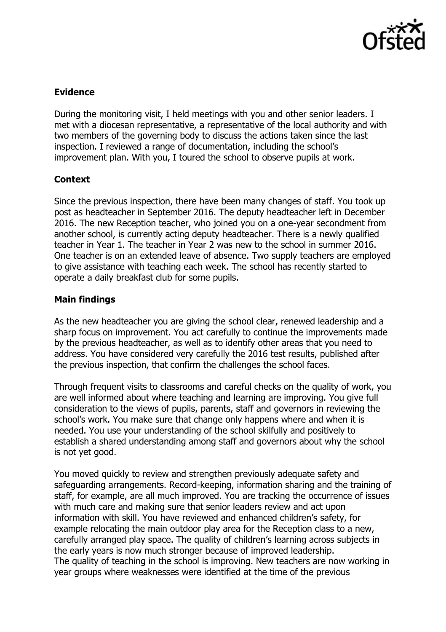

# **Evidence**

During the monitoring visit, I held meetings with you and other senior leaders. I met with a diocesan representative, a representative of the local authority and with two members of the governing body to discuss the actions taken since the last inspection. I reviewed a range of documentation, including the school's improvement plan. With you, I toured the school to observe pupils at work.

# **Context**

Since the previous inspection, there have been many changes of staff. You took up post as headteacher in September 2016. The deputy headteacher left in December 2016. The new Reception teacher, who joined you on a one-year secondment from another school, is currently acting deputy headteacher. There is a newly qualified teacher in Year 1. The teacher in Year 2 was new to the school in summer 2016. One teacher is on an extended leave of absence. Two supply teachers are employed to give assistance with teaching each week. The school has recently started to operate a daily breakfast club for some pupils.

# **Main findings**

As the new headteacher you are giving the school clear, renewed leadership and a sharp focus on improvement. You act carefully to continue the improvements made by the previous headteacher, as well as to identify other areas that you need to address. You have considered very carefully the 2016 test results, published after the previous inspection, that confirm the challenges the school faces.

Through frequent visits to classrooms and careful checks on the quality of work, you are well informed about where teaching and learning are improving. You give full consideration to the views of pupils, parents, staff and governors in reviewing the school's work. You make sure that change only happens where and when it is needed. You use your understanding of the school skilfully and positively to establish a shared understanding among staff and governors about why the school is not yet good.

You moved quickly to review and strengthen previously adequate safety and safeguarding arrangements. Record-keeping, information sharing and the training of staff, for example, are all much improved. You are tracking the occurrence of issues with much care and making sure that senior leaders review and act upon information with skill. You have reviewed and enhanced children's safety, for example relocating the main outdoor play area for the Reception class to a new, carefully arranged play space. The quality of children's learning across subjects in the early years is now much stronger because of improved leadership. The quality of teaching in the school is improving. New teachers are now working in year groups where weaknesses were identified at the time of the previous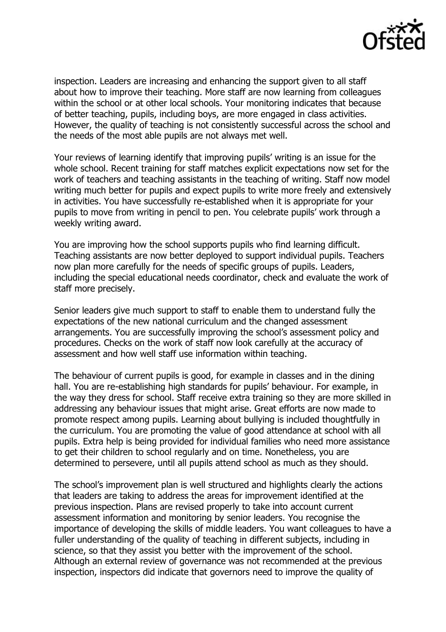

inspection. Leaders are increasing and enhancing the support given to all staff about how to improve their teaching. More staff are now learning from colleagues within the school or at other local schools. Your monitoring indicates that because of better teaching, pupils, including boys, are more engaged in class activities. However, the quality of teaching is not consistently successful across the school and the needs of the most able pupils are not always met well.

Your reviews of learning identify that improving pupils' writing is an issue for the whole school. Recent training for staff matches explicit expectations now set for the work of teachers and teaching assistants in the teaching of writing. Staff now model writing much better for pupils and expect pupils to write more freely and extensively in activities. You have successfully re-established when it is appropriate for your pupils to move from writing in pencil to pen. You celebrate pupils' work through a weekly writing award.

You are improving how the school supports pupils who find learning difficult. Teaching assistants are now better deployed to support individual pupils. Teachers now plan more carefully for the needs of specific groups of pupils. Leaders, including the special educational needs coordinator, check and evaluate the work of staff more precisely.

Senior leaders give much support to staff to enable them to understand fully the expectations of the new national curriculum and the changed assessment arrangements. You are successfully improving the school's assessment policy and procedures. Checks on the work of staff now look carefully at the accuracy of assessment and how well staff use information within teaching.

The behaviour of current pupils is good, for example in classes and in the dining hall. You are re-establishing high standards for pupils' behaviour. For example, in the way they dress for school. Staff receive extra training so they are more skilled in addressing any behaviour issues that might arise. Great efforts are now made to promote respect among pupils. Learning about bullying is included thoughtfully in the curriculum. You are promoting the value of good attendance at school with all pupils. Extra help is being provided for individual families who need more assistance to get their children to school regularly and on time. Nonetheless, you are determined to persevere, until all pupils attend school as much as they should.

The school's improvement plan is well structured and highlights clearly the actions that leaders are taking to address the areas for improvement identified at the previous inspection. Plans are revised properly to take into account current assessment information and monitoring by senior leaders. You recognise the importance of developing the skills of middle leaders. You want colleagues to have a fuller understanding of the quality of teaching in different subjects, including in science, so that they assist you better with the improvement of the school. Although an external review of governance was not recommended at the previous inspection, inspectors did indicate that governors need to improve the quality of